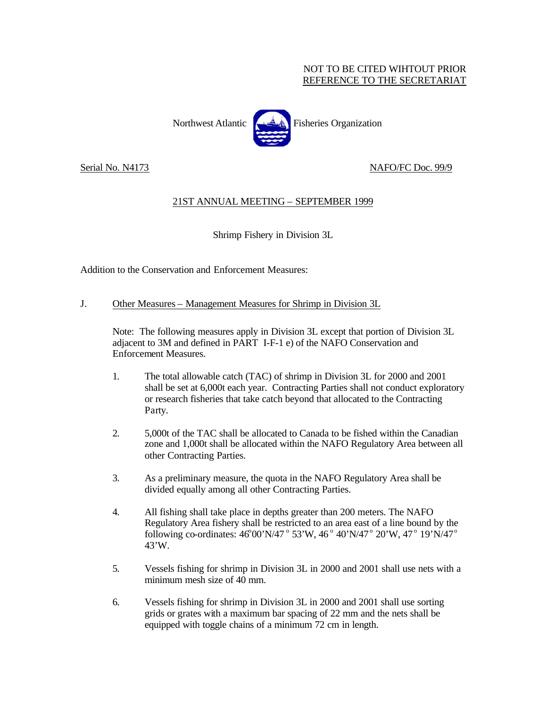## NOT TO BE CITED WIHTOUT PRIOR REFERENCE TO THE SECRETARIAT



Northwest Atlantic **Fisheries** Organization

Serial No. N4173 NAFO/FC Doc. 99/9

## 21ST ANNUAL MEETING – SEPTEMBER 1999

Shrimp Fishery in Division 3L

Addition to the Conservation and Enforcement Measures:

## J. Other Measures – Management Measures for Shrimp in Division 3L

Note: The following measures apply in Division 3L except that portion of Division 3L adjacent to 3M and defined in PART I-F-1 e) of the NAFO Conservation and Enforcement Measures.

- 1. The total allowable catch (TAC) of shrimp in Division 3L for 2000 and 2001 shall be set at 6,000t each year. Contracting Parties shall not conduct exploratory or research fisheries that take catch beyond that allocated to the Contracting Party.
- 2. 5,000t of the TAC shall be allocated to Canada to be fished within the Canadian zone and 1,000t shall be allocated within the NAFO Regulatory Area between all other Contracting Parties.
- 3. As a preliminary measure, the quota in the NAFO Regulatory Area shall be divided equally among all other Contracting Parties.
- 4. All fishing shall take place in depths greater than 200 meters. The NAFO Regulatory Area fishery shall be restricted to an area east of a line bound by the following co-ordinates: 46°00'N/47 ° 53'W, 46 ° 40'N/47 ° 20'W, 47 ° 19'N/47 ° 43'W.
- 5. Vessels fishing for shrimp in Division 3L in 2000 and 2001 shall use nets with a minimum mesh size of 40 mm.
- 6. Vessels fishing for shrimp in Division 3L in 2000 and 2001 shall use sorting grids or grates with a maximum bar spacing of 22 mm and the nets shall be equipped with toggle chains of a minimum 72 cm in length.